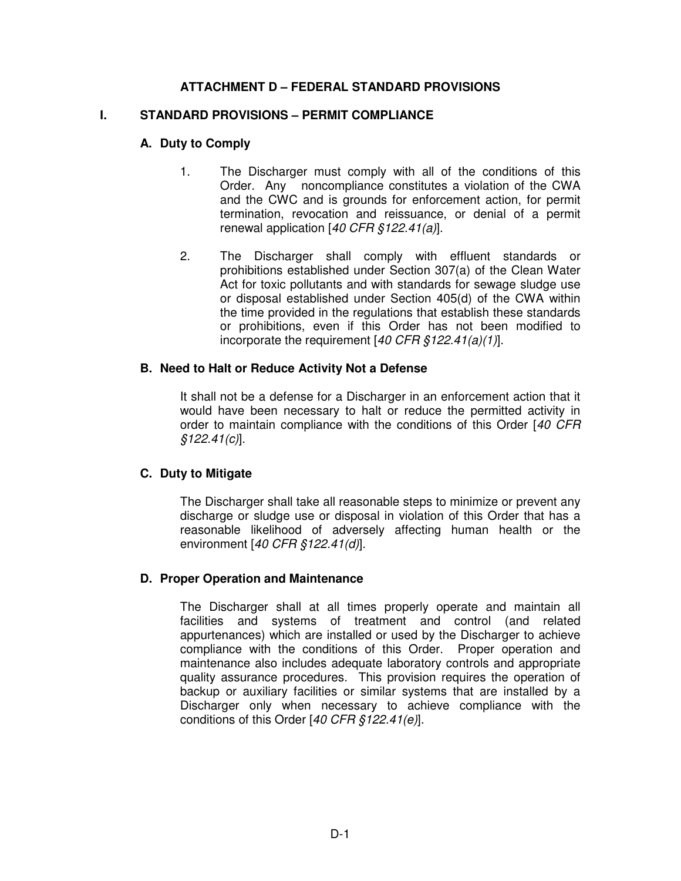## **ATTACHMENT D – FEDERAL STANDARD PROVISIONS**

#### **I. STANDARD PROVISIONS – PERMIT COMPLIANCE**

#### **A. Duty to Comply**

- 1. The Discharger must comply with all of the conditions of this Order. Any noncompliance constitutes a violation of the CWA and the CWC and is grounds for enforcement action, for permit termination, revocation and reissuance, or denial of a permit renewal application [40 CFR §122.41(a)].
- 2. The Discharger shall comply with effluent standards or prohibitions established under Section 307(a) of the Clean Water Act for toxic pollutants and with standards for sewage sludge use or disposal established under Section 405(d) of the CWA within the time provided in the regulations that establish these standards or prohibitions, even if this Order has not been modified to incorporate the requirement  $[40 \text{ CFR } $122.41(a)(1)]$ .

#### **B. Need to Halt or Reduce Activity Not a Defense**

It shall not be a defense for a Discharger in an enforcement action that it would have been necessary to halt or reduce the permitted activity in order to maintain compliance with the conditions of this Order [40 CFR]  $$122.41(c)]$ .

### **C. Duty to Mitigate**

The Discharger shall take all reasonable steps to minimize or prevent any discharge or sludge use or disposal in violation of this Order that has a reasonable likelihood of adversely affecting human health or the environment [40 CFR §122.41(d)].

#### **D. Proper Operation and Maintenance**

The Discharger shall at all times properly operate and maintain all facilities and systems of treatment and control (and related appurtenances) which are installed or used by the Discharger to achieve compliance with the conditions of this Order. Proper operation and maintenance also includes adequate laboratory controls and appropriate quality assurance procedures. This provision requires the operation of backup or auxiliary facilities or similar systems that are installed by a Discharger only when necessary to achieve compliance with the conditions of this Order [40 CFR §122.41(e)].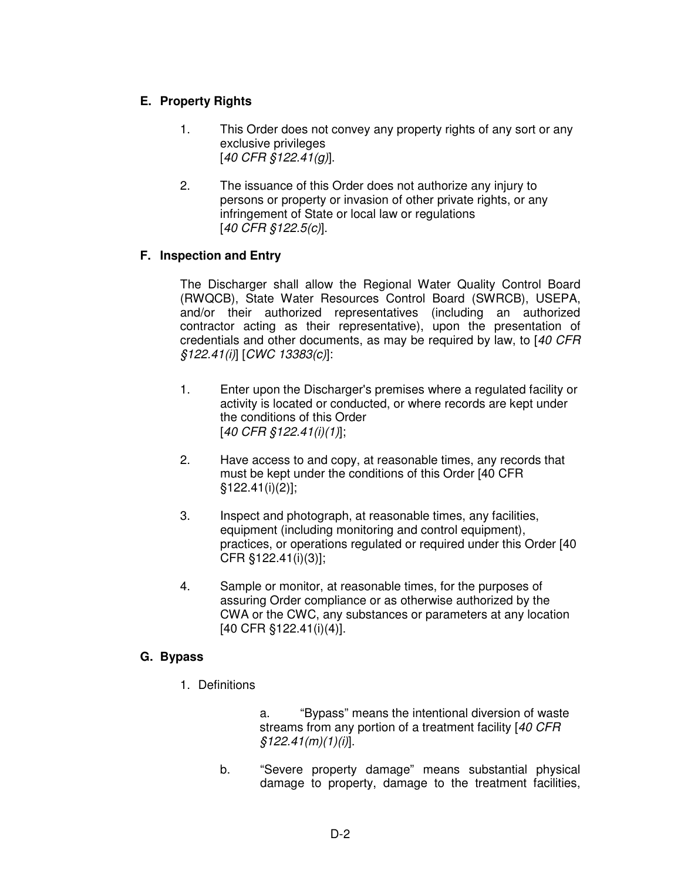# **E. Property Rights**

- 1. This Order does not convey any property rights of any sort or any exclusive privileges [40 CFR §122.41(g)].
- 2. The issuance of this Order does not authorize any injury to persons or property or invasion of other private rights, or any infringement of State or local law or regulations [40 CFR §122.5(c)].

# **F. Inspection and Entry**

The Discharger shall allow the Regional Water Quality Control Board (RWQCB), State Water Resources Control Board (SWRCB), USEPA, and/or their authorized representatives (including an authorized contractor acting as their representative), upon the presentation of credentials and other documents, as may be required by law, to [40 CFR §122.41(i)] [CWC 13383(c)]:

- 1. Enter upon the Discharger's premises where a regulated facility or activity is located or conducted, or where records are kept under the conditions of this Order [40 CFR §122.41(i)(1)];
- 2. Have access to and copy, at reasonable times, any records that must be kept under the conditions of this Order [40 CFR §122.41(i)(2)];
- 3. Inspect and photograph, at reasonable times, any facilities, equipment (including monitoring and control equipment), practices, or operations regulated or required under this Order [40 CFR §122.41(i)(3)];
- 4. Sample or monitor, at reasonable times, for the purposes of assuring Order compliance or as otherwise authorized by the CWA or the CWC, any substances or parameters at any location [40 CFR §122.41(i)(4)].

### **G. Bypass**

1. Definitions

 a. "Bypass" means the intentional diversion of waste streams from any portion of a treatment facility [40 CFR]  $$122.41(m)(1)(i)].$ 

b. "Severe property damage" means substantial physical damage to property, damage to the treatment facilities,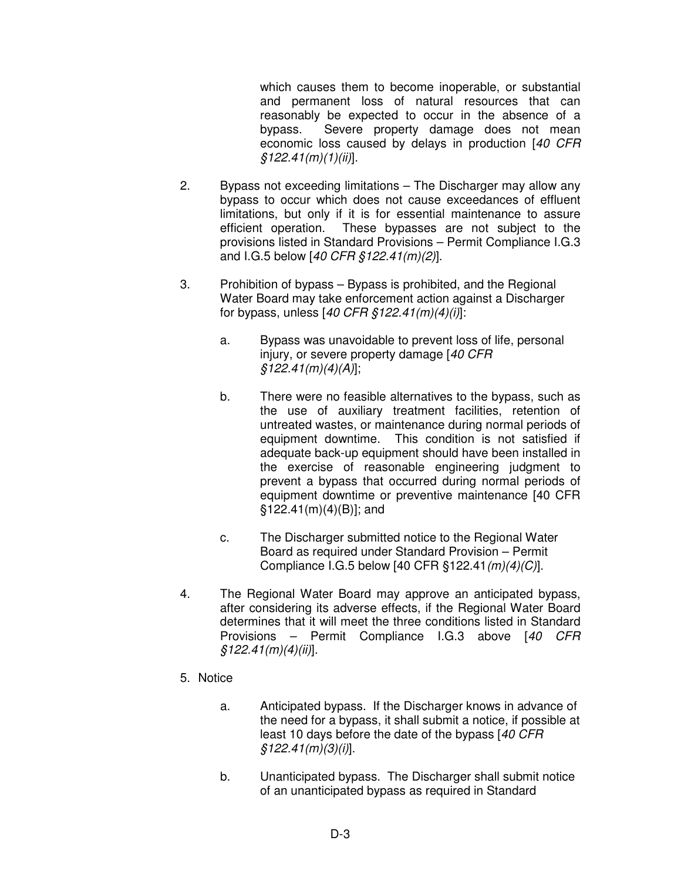which causes them to become inoperable, or substantial and permanent loss of natural resources that can reasonably be expected to occur in the absence of a bypass. Severe property damage does not mean economic loss caused by delays in production [40 CFR  $$122.41(m)(1)(ii)].$ 

- 2. Bypass not exceeding limitations The Discharger may allow any bypass to occur which does not cause exceedances of effluent limitations, but only if it is for essential maintenance to assure efficient operation. These bypasses are not subject to the provisions listed in Standard Provisions – Permit Compliance I.G.3 and I.G.5 below [40 CFR §122.41(m)(2)].
- 3. Prohibition of bypass Bypass is prohibited, and the Regional Water Board may take enforcement action against a Discharger for bypass, unless  $[40 \text{ CFR } $122.41(m)(4)(i)]$ :
	- a. Bypass was unavoidable to prevent loss of life, personal injury, or severe property damage [40 CFR  $$122.41(m)(4)(A)]$ ;
	- b. There were no feasible alternatives to the bypass, such as the use of auxiliary treatment facilities, retention of untreated wastes, or maintenance during normal periods of equipment downtime. This condition is not satisfied if adequate back-up equipment should have been installed in the exercise of reasonable engineering judgment to prevent a bypass that occurred during normal periods of equipment downtime or preventive maintenance [40 CFR  $$122.41(m)(4)(B)]$ ; and
	- c. The Discharger submitted notice to the Regional Water Board as required under Standard Provision – Permit Compliance I.G.5 below [40 CFR §122.41(m)(4)(C)].
- 4. The Regional Water Board may approve an anticipated bypass, after considering its adverse effects, if the Regional Water Board determines that it will meet the three conditions listed in Standard Provisions – Permit Compliance I.G.3 above [40 CFR  $$122.41(m)(4)(ii)].$
- 5. Notice
	- a. Anticipated bypass. If the Discharger knows in advance of the need for a bypass, it shall submit a notice, if possible at least 10 days before the date of the bypass [40 CFR] §122.41(m)(3)(i)].
	- b. Unanticipated bypass. The Discharger shall submit notice of an unanticipated bypass as required in Standard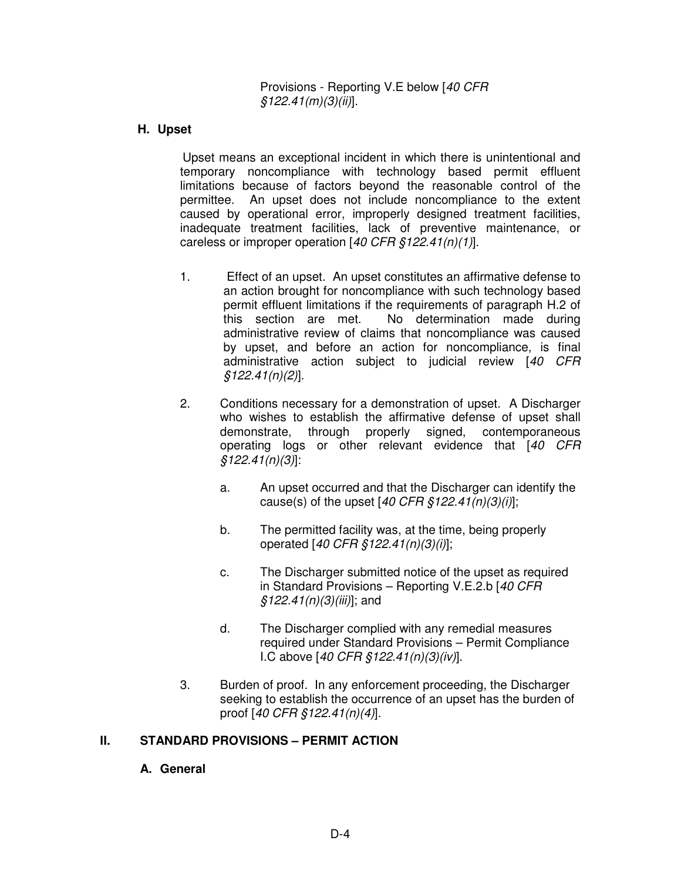Provisions - Reporting V.E below [40 CFR  $$122.41(m)(3)(ii)].$ 

### **H. Upset**

Upset means an exceptional incident in which there is unintentional and temporary noncompliance with technology based permit effluent limitations because of factors beyond the reasonable control of the permittee. An upset does not include noncompliance to the extent caused by operational error, improperly designed treatment facilities, inadequate treatment facilities, lack of preventive maintenance, or careless or improper operation  $[40 \text{ CFR } \frac{6}{5}122.41(n)(1)].$ 

- 1. Effect of an upset. An upset constitutes an affirmative defense to an action brought for noncompliance with such technology based permit effluent limitations if the requirements of paragraph H.2 of this section are met. No determination made during administrative review of claims that noncompliance was caused by upset, and before an action for noncompliance, is final administrative action subject to judicial review [40 CFR  $$122.41(n)(2)].$
- 2. Conditions necessary for a demonstration of upset. A Discharger who wishes to establish the affirmative defense of upset shall demonstrate, through properly signed, contemporaneous operating logs or other relevant evidence that [40 CFR  $$122.41(n)(3)]$ :
	- a. An upset occurred and that the Discharger can identify the cause(s) of the upset  $[40 \text{ CFR } \frac{6}{5}122.41(n)(3)(i)];$
	- b. The permitted facility was, at the time, being properly operated [40 CFR §122.41(n)(3)(i)];
	- c. The Discharger submitted notice of the upset as required in Standard Provisions – Reporting V.E.2.b [40 CFR  $$122.41(n)(3)(iii)$ ; and
	- d. The Discharger complied with any remedial measures required under Standard Provisions – Permit Compliance I.C above [40 CFR §122.41(n)(3)(iv)].
- 3. Burden of proof. In any enforcement proceeding, the Discharger seeking to establish the occurrence of an upset has the burden of proof [40 CFR §122.41(n)(4)].

# **II. STANDARD PROVISIONS – PERMIT ACTION**

### **A. General**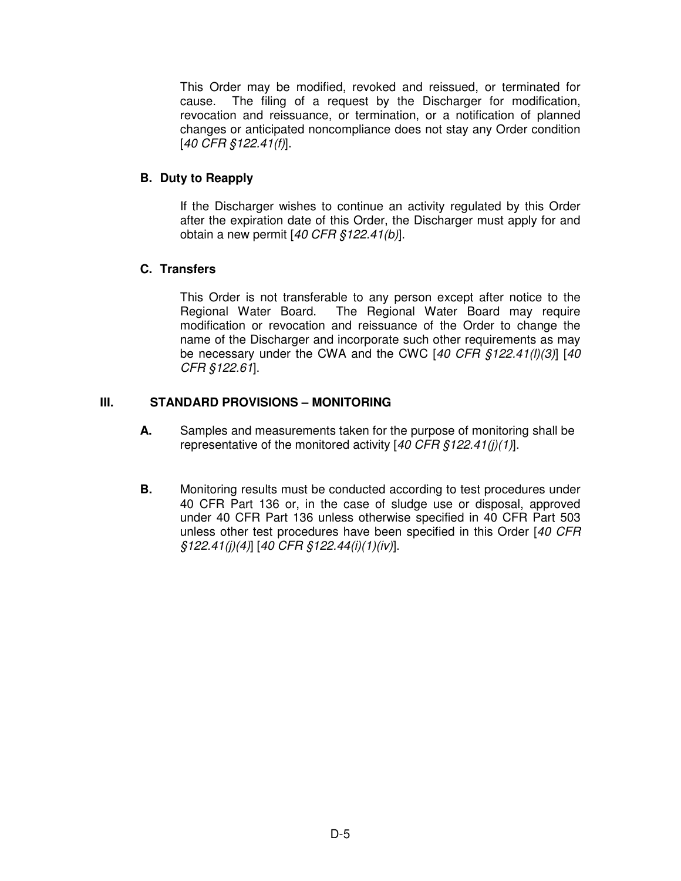This Order may be modified, revoked and reissued, or terminated for cause. The filing of a request by the Discharger for modification, revocation and reissuance, or termination, or a notification of planned changes or anticipated noncompliance does not stay any Order condition [40 CFR §122.41(f)].

# **B. Duty to Reapply**

If the Discharger wishes to continue an activity regulated by this Order after the expiration date of this Order, the Discharger must apply for and obtain a new permit [40 CFR §122.41(b)].

# **C. Transfers**

This Order is not transferable to any person except after notice to the Regional Water Board. The Regional Water Board may require modification or revocation and reissuance of the Order to change the name of the Discharger and incorporate such other requirements as may be necessary under the CWA and the CWC [40 CFR §122.41(I)(3)] [40 CFR §122.61].

# **III. STANDARD PROVISIONS – MONITORING**

- **A.** Samples and measurements taken for the purpose of monitoring shall be representative of the monitored activity [40 CFR §122.41(j)(1)].
- **B.** Monitoring results must be conducted according to test procedures under 40 CFR Part 136 or, in the case of sludge use or disposal, approved under 40 CFR Part 136 unless otherwise specified in 40 CFR Part 503 unless other test procedures have been specified in this Order [40 CFR §122.41(j)(4)] [40 CFR §122.44(i)(1)(iv)].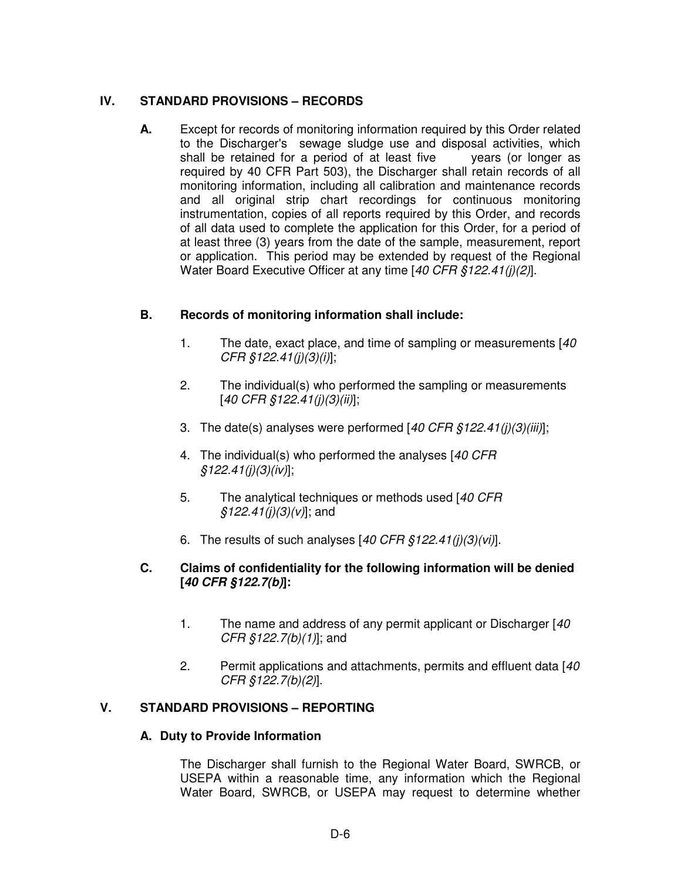## **IV. STANDARD PROVISIONS – RECORDS**

**A.** Except for records of monitoring information required by this Order related to the Discharger's sewage sludge use and disposal activities, which shall be retained for a period of at least five years (or longer as required by 40 CFR Part 503), the Discharger shall retain records of all monitoring information, including all calibration and maintenance records and all original strip chart recordings for continuous monitoring instrumentation, copies of all reports required by this Order, and records of all data used to complete the application for this Order, for a period of at least three (3) years from the date of the sample, measurement, report or application. This period may be extended by request of the Regional Water Board Executive Officer at any time [40 CFR §122.41(j)(2)].

## **B. Records of monitoring information shall include:**

- 1. The date, exact place, and time of sampling or measurements [40] CFR §122.41(j)(3)(i)];
- 2. The individual(s) who performed the sampling or measurements  $[40 \text{ CFR } $122.41(j)(3)(ii)]$ ;
- 3. The date(s) analyses were performed  $[40 \text{ CFR } $122.41(j)(3)(iii)]$ ;
- 4. The individual(s) who performed the analyses [40 CFR]  $§122.41(j)(3)(iv)$
- 5. The analytical techniques or methods used [40 CFR  $$122.41(j)(3)(v)]$ ; and
- 6. The results of such analyses  $[40 \text{ CFR } \frac{6}{5}122.41(j)(3)(vi)].$

### **C. Claims of confidentiality for the following information will be denied [40 CFR §122.7(b)]:**

- 1. The name and address of any permit applicant or Discharger [40]  $CFR \, \S122.7(b)(1)$ ; and
- 2. Permit applications and attachments, permits and effluent data [40] CFR §122.7(b)(2)].

# **V. STANDARD PROVISIONS – REPORTING**

### **A. Duty to Provide Information**

The Discharger shall furnish to the Regional Water Board, SWRCB, or USEPA within a reasonable time, any information which the Regional Water Board, SWRCB, or USEPA may request to determine whether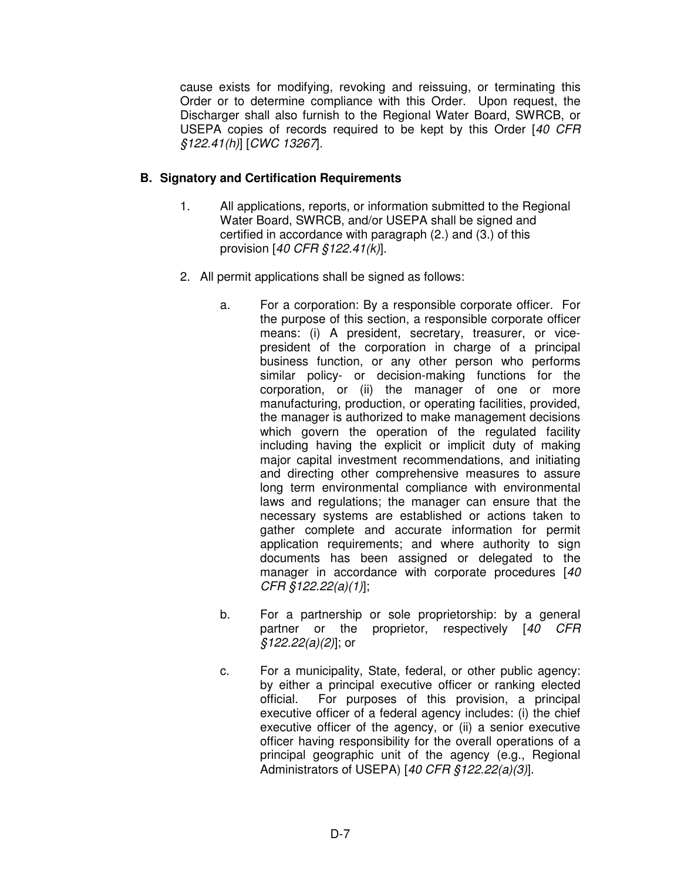cause exists for modifying, revoking and reissuing, or terminating this Order or to determine compliance with this Order. Upon request, the Discharger shall also furnish to the Regional Water Board, SWRCB, or USEPA copies of records required to be kept by this Order [40 CFR §122.41(h)] [CWC 13267].

### **B. Signatory and Certification Requirements**

- 1. All applications, reports, or information submitted to the Regional Water Board, SWRCB, and/or USEPA shall be signed and certified in accordance with paragraph (2.) and (3.) of this provision  $[40 \text{ CFR } $122.41(k)]$ .
- 2. All permit applications shall be signed as follows:
	- a. For a corporation: By a responsible corporate officer. For the purpose of this section, a responsible corporate officer means: (i) A president, secretary, treasurer, or vicepresident of the corporation in charge of a principal business function, or any other person who performs similar policy- or decision-making functions for the corporation, or (ii) the manager of one or more manufacturing, production, or operating facilities, provided, the manager is authorized to make management decisions which govern the operation of the regulated facility including having the explicit or implicit duty of making major capital investment recommendations, and initiating and directing other comprehensive measures to assure long term environmental compliance with environmental laws and regulations; the manager can ensure that the necessary systems are established or actions taken to gather complete and accurate information for permit application requirements; and where authority to sign documents has been assigned or delegated to the manager in accordance with corporate procedures [40 CFR §122.22(a)(1)];
	- b. For a partnership or sole proprietorship: by a general partner or the proprietor, respectively [40 CFR §122.22(a)(2)]; or
	- c. For a municipality, State, federal, or other public agency: by either a principal executive officer or ranking elected official. For purposes of this provision, a principal executive officer of a federal agency includes: (i) the chief executive officer of the agency, or (ii) a senior executive officer having responsibility for the overall operations of a principal geographic unit of the agency (e.g., Regional Administrators of USEPA) [40 CFR §122.22(a)(3)].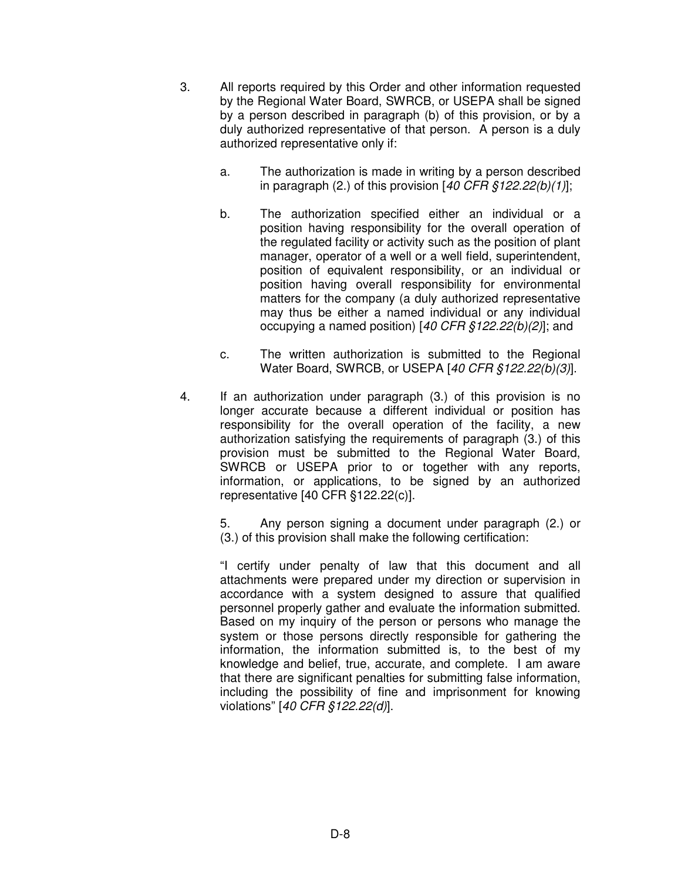- 3. All reports required by this Order and other information requested by the Regional Water Board, SWRCB, or USEPA shall be signed by a person described in paragraph (b) of this provision, or by a duly authorized representative of that person. A person is a duly authorized representative only if:
	- a. The authorization is made in writing by a person described in paragraph (2.) of this provision  $[40 \text{ CFR } $122.22(b)(1)]$ ;
	- b. The authorization specified either an individual or a position having responsibility for the overall operation of the regulated facility or activity such as the position of plant manager, operator of a well or a well field, superintendent, position of equivalent responsibility, or an individual or position having overall responsibility for environmental matters for the company (a duly authorized representative may thus be either a named individual or any individual occupying a named position) [40 CFR §122.22(b)(2)]; and
	- c. The written authorization is submitted to the Regional Water Board, SWRCB, or USEPA [40 CFR §122.22(b)(3)].
- 4. If an authorization under paragraph (3.) of this provision is no longer accurate because a different individual or position has responsibility for the overall operation of the facility, a new authorization satisfying the requirements of paragraph (3.) of this provision must be submitted to the Regional Water Board, SWRCB or USEPA prior to or together with any reports, information, or applications, to be signed by an authorized representative [40 CFR §122.22(c)].

 5. Any person signing a document under paragraph (2.) or (3.) of this provision shall make the following certification:

"I certify under penalty of law that this document and all attachments were prepared under my direction or supervision in accordance with a system designed to assure that qualified personnel properly gather and evaluate the information submitted. Based on my inquiry of the person or persons who manage the system or those persons directly responsible for gathering the information, the information submitted is, to the best of my knowledge and belief, true, accurate, and complete. I am aware that there are significant penalties for submitting false information, including the possibility of fine and imprisonment for knowing violations" [40 CFR §122.22(d)].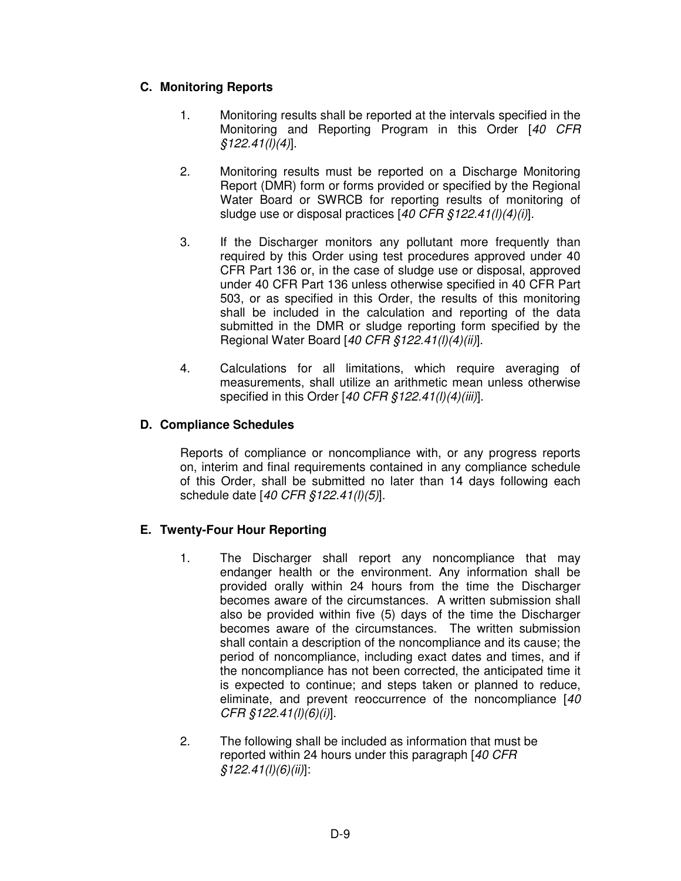# **C. Monitoring Reports**

- 1. Monitoring results shall be reported at the intervals specified in the Monitoring and Reporting Program in this Order [40 CFR §122.41(l)(4)].
- 2. Monitoring results must be reported on a Discharge Monitoring Report (DMR) form or forms provided or specified by the Regional Water Board or SWRCB for reporting results of monitoring of sludge use or disposal practices [40 CFR §122.41(l)(4)(i)].
- 3. If the Discharger monitors any pollutant more frequently than required by this Order using test procedures approved under 40 CFR Part 136 or, in the case of sludge use or disposal, approved under 40 CFR Part 136 unless otherwise specified in 40 CFR Part 503, or as specified in this Order, the results of this monitoring shall be included in the calculation and reporting of the data submitted in the DMR or sludge reporting form specified by the Regional Water Board [40 CFR §122.41(l)(4)(ii)].
- 4. Calculations for all limitations, which require averaging of measurements, shall utilize an arithmetic mean unless otherwise specified in this Order  $[40 \text{ CFR } $122.41(l)(4)(iii)].$

# **D. Compliance Schedules**

Reports of compliance or noncompliance with, or any progress reports on, interim and final requirements contained in any compliance schedule of this Order, shall be submitted no later than 14 days following each schedule date [40 CFR §122.41(l)(5)].

# **E. Twenty-Four Hour Reporting**

- 1. The Discharger shall report any noncompliance that may endanger health or the environment. Any information shall be provided orally within 24 hours from the time the Discharger becomes aware of the circumstances. A written submission shall also be provided within five (5) days of the time the Discharger becomes aware of the circumstances. The written submission shall contain a description of the noncompliance and its cause; the period of noncompliance, including exact dates and times, and if the noncompliance has not been corrected, the anticipated time it is expected to continue; and steps taken or planned to reduce, eliminate, and prevent reoccurrence of the noncompliance [40] CFR §122.41(l)(6)(i)].
- 2. The following shall be included as information that must be reported within 24 hours under this paragraph [40 CFR  $$122.41(l)(6)(ii)]$ :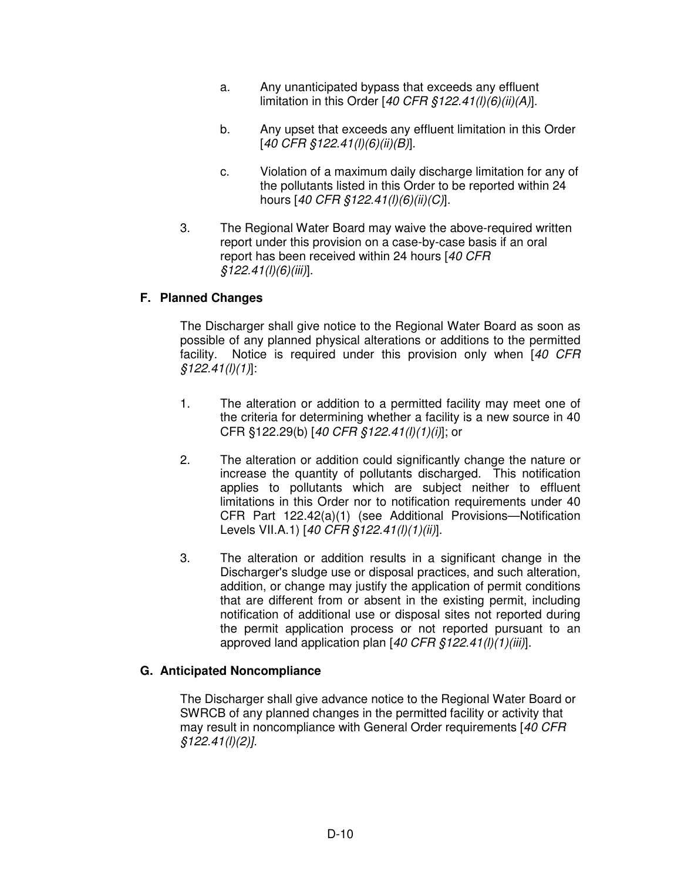- a. Any unanticipated bypass that exceeds any effluent limitation in this Order [40 CFR  $$122.41(l)(6)(ii)(A)].$
- b. Any upset that exceeds any effluent limitation in this Order  $[40 \text{ CFR } $122.41(l)(6)(ii)(B)].$
- c. Violation of a maximum daily discharge limitation for any of the pollutants listed in this Order to be reported within 24 hours [40 CFR §122.41(l)(6)(ii)(C)].
- 3. The Regional Water Board may waive the above-required written report under this provision on a case-by-case basis if an oral report has been received within 24 hours [40 CFR]  $$122.41(l)(6)(iii)].$

## **F. Planned Changes**

The Discharger shall give notice to the Regional Water Board as soon as possible of any planned physical alterations or additions to the permitted facility. Notice is required under this provision only when [40 CFR  $$122.41(l)(1)]$ :

- 1. The alteration or addition to a permitted facility may meet one of the criteria for determining whether a facility is a new source in 40 CFR §122.29(b) [40 CFR §122.41(l)(1)(i)]; or
- 2. The alteration or addition could significantly change the nature or increase the quantity of pollutants discharged. This notification applies to pollutants which are subject neither to effluent limitations in this Order nor to notification requirements under 40 CFR Part 122.42(a)(1) (see Additional Provisions—Notification Levels VII.A.1) [40 CFR §122.41(l)(1)(ii)].
- 3. The alteration or addition results in a significant change in the Discharger's sludge use or disposal practices, and such alteration, addition, or change may justify the application of permit conditions that are different from or absent in the existing permit, including notification of additional use or disposal sites not reported during the permit application process or not reported pursuant to an approved land application plan  $[40 \text{ CFR } \frac{6}{5}122.41 \text{I})$ (1)(iii)].

### **G. Anticipated Noncompliance**

The Discharger shall give advance notice to the Regional Water Board or SWRCB of any planned changes in the permitted facility or activity that may result in noncompliance with General Order requirements [40 CFR §122.41(l)(2)].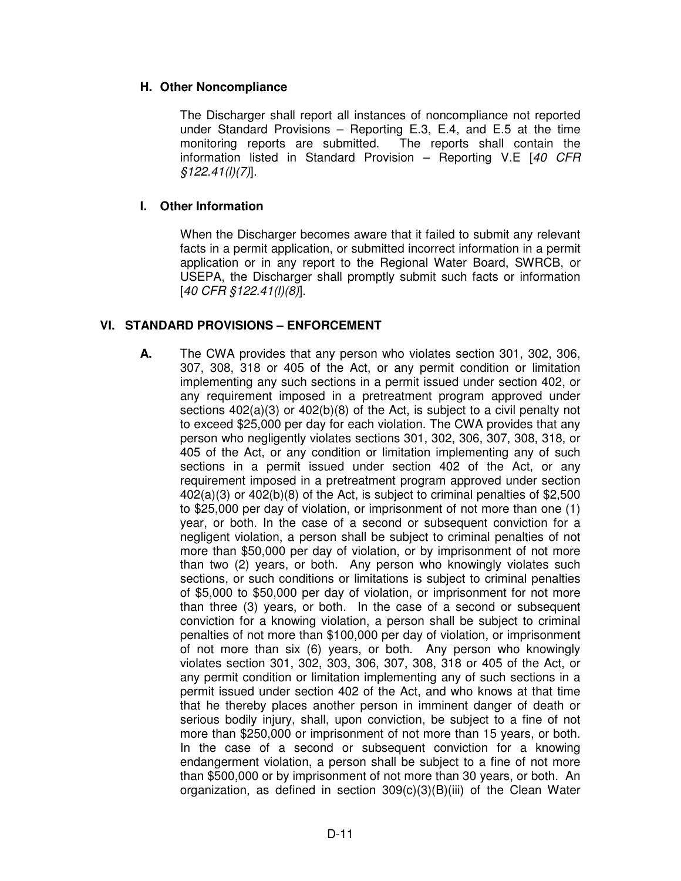### **H. Other Noncompliance**

The Discharger shall report all instances of noncompliance not reported under Standard Provisions – Reporting E.3, E.4, and E.5 at the time monitoring reports are submitted. The reports shall contain the information listed in Standard Provision – Reporting V.E [40 CFR  $$122.41(l)(7)].$ 

#### **I. Other Information**

When the Discharger becomes aware that it failed to submit any relevant facts in a permit application, or submitted incorrect information in a permit application or in any report to the Regional Water Board, SWRCB, or USEPA, the Discharger shall promptly submit such facts or information [40 CFR §122.41(l)(8)].

### **VI. STANDARD PROVISIONS – ENFORCEMENT**

**A.** The CWA provides that any person who violates section 301, 302, 306, 307, 308, 318 or 405 of the Act, or any permit condition or limitation implementing any such sections in a permit issued under section 402, or any requirement imposed in a pretreatment program approved under sections 402(a)(3) or 402(b)(8) of the Act, is subject to a civil penalty not to exceed \$25,000 per day for each violation. The CWA provides that any person who negligently violates sections 301, 302, 306, 307, 308, 318, or 405 of the Act, or any condition or limitation implementing any of such sections in a permit issued under section 402 of the Act, or any requirement imposed in a pretreatment program approved under section 402(a)(3) or 402(b)(8) of the Act, is subject to criminal penalties of \$2,500 to \$25,000 per day of violation, or imprisonment of not more than one (1) year, or both. In the case of a second or subsequent conviction for a negligent violation, a person shall be subject to criminal penalties of not more than \$50,000 per day of violation, or by imprisonment of not more than two (2) years, or both. Any person who knowingly violates such sections, or such conditions or limitations is subject to criminal penalties of \$5,000 to \$50,000 per day of violation, or imprisonment for not more than three (3) years, or both. In the case of a second or subsequent conviction for a knowing violation, a person shall be subject to criminal penalties of not more than \$100,000 per day of violation, or imprisonment of not more than six (6) years, or both. Any person who knowingly violates section 301, 302, 303, 306, 307, 308, 318 or 405 of the Act, or any permit condition or limitation implementing any of such sections in a permit issued under section 402 of the Act, and who knows at that time that he thereby places another person in imminent danger of death or serious bodily injury, shall, upon conviction, be subject to a fine of not more than \$250,000 or imprisonment of not more than 15 years, or both. In the case of a second or subsequent conviction for a knowing endangerment violation, a person shall be subject to a fine of not more than \$500,000 or by imprisonment of not more than 30 years, or both. An organization, as defined in section 309(c)(3)(B)(iii) of the Clean Water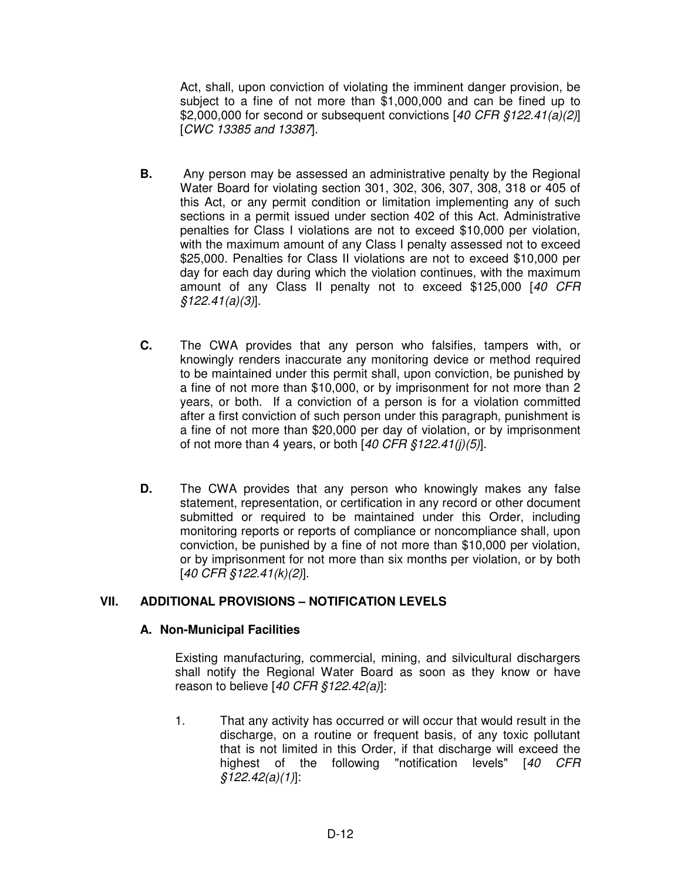Act, shall, upon conviction of violating the imminent danger provision, be subject to a fine of not more than \$1,000,000 and can be fined up to \$2,000,000 for second or subsequent convictions  $[40 \text{ CFR } $122.41(a)/2]$ [CWC 13385 and 13387].

- **B.** Any person may be assessed an administrative penalty by the Regional Water Board for violating section 301, 302, 306, 307, 308, 318 or 405 of this Act, or any permit condition or limitation implementing any of such sections in a permit issued under section 402 of this Act. Administrative penalties for Class I violations are not to exceed \$10,000 per violation, with the maximum amount of any Class I penalty assessed not to exceed \$25,000. Penalties for Class II violations are not to exceed \$10,000 per day for each day during which the violation continues, with the maximum amount of any Class II penalty not to exceed \$125,000 [40 CFR §122.41(a)(3)].
- **C.** The CWA provides that any person who falsifies, tampers with, or knowingly renders inaccurate any monitoring device or method required to be maintained under this permit shall, upon conviction, be punished by a fine of not more than \$10,000, or by imprisonment for not more than 2 years, or both. If a conviction of a person is for a violation committed after a first conviction of such person under this paragraph, punishment is a fine of not more than \$20,000 per day of violation, or by imprisonment of not more than 4 years, or both  $[40 \text{ CFR } $122.41(j)(5)].$
- **D.** The CWA provides that any person who knowingly makes any false statement, representation, or certification in any record or other document submitted or required to be maintained under this Order, including monitoring reports or reports of compliance or noncompliance shall, upon conviction, be punished by a fine of not more than \$10,000 per violation, or by imprisonment for not more than six months per violation, or by both [40 CFR §122.41(k)(2)].

# **VII. ADDITIONAL PROVISIONS – NOTIFICATION LEVELS**

### **A. Non-Municipal Facilities**

Existing manufacturing, commercial, mining, and silvicultural dischargers shall notify the Regional Water Board as soon as they know or have reason to believe  $[40 \text{ CFR } $122.42(a)]$ :

1. That any activity has occurred or will occur that would result in the discharge, on a routine or frequent basis, of any toxic pollutant that is not limited in this Order, if that discharge will exceed the highest of the following "notification levels" [40 CFR §122.42(a)(1)]: